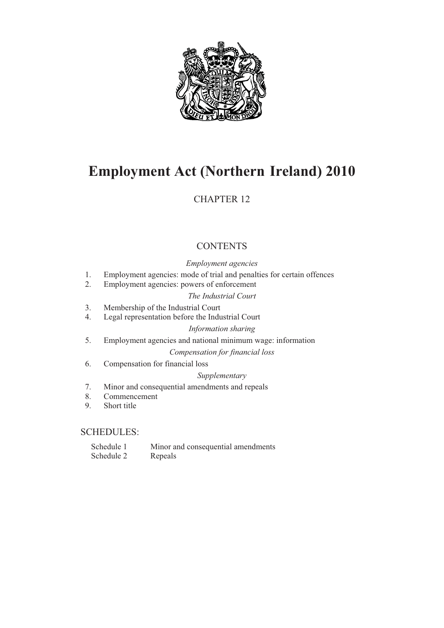

# **Employment Act (Northern-Ireland) 2010**

## CHAPTER 12

## **CONTENTS**

## *Employment agencies*

- 1. Employment agencies: mode of trial and penalties for certain offences
- 2. Employment agencies: powers of enforcement *The Industrial Court*
- 3. Membership of the Industrial Court
- 4. Legal representation before the Industrial Court

## *Information sharing*

5. Employment agencies and national minimum wage: information

*Compensation for financial loss*

6. Compensation for financial loss

## *Supplementary*

- 7. Minor and consequential amendments and repeals
- 8. Commencement
- 9. Short title

## SCHEDULES:

Schedule 1 Minor and consequential amendments Schedule 2 Repeals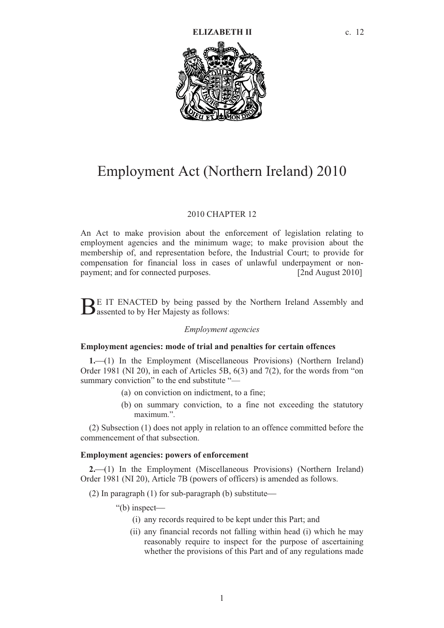

# Employment Act (Northern Ireland) 2010

#### 2010 CHAPTER 12

An Act to make provision about the enforcement of legislation relating to employment agencies and the minimum wage; to make provision about the membership of, and representation before, the Industrial Court; to provide for compensation for financial loss in cases of unlawful underpayment or nonpayment; and for connected purposes. [2nd August 2010]

E IT ENACTED by being passed by the Northern Ireland Assembly and  $B<sup>E</sup>$  IT ENACTED by being passed by as follows:

#### *Employment agencies*

#### **Employment agencies: mode of trial and penalties for certain offences**

**1.**(1) In the Employment (Miscellaneous Provisions) (Northern Ireland) Order 1981 (NI 20), in each of Articles 5B, 6(3) and 7(2), for the words from "on summary conviction" to the end substitute "—

- (a) on conviction on indictment, to a fine;
- (b) on summary conviction, to a fine not exceeding the statutory maximum.".

(2) Subsection (1) does not apply in relation to an offence committed before the commencement of that subsection.

## **Employment agencies: powers of enforcement**

**2.**(1) In the Employment (Miscellaneous Provisions) (Northern Ireland) Order 1981 (NI 20), Article 7B (powers of officers) is amended as follows.

(2) In paragraph (1) for sub-paragraph (b) substitute

- "(b) inspect
	- (i) any records required to be kept under this Part; and
	- (ii) any financial records not falling within head (i) which he may reasonably require to inspect for the purpose of ascertaining whether the provisions of this Part and of any regulations made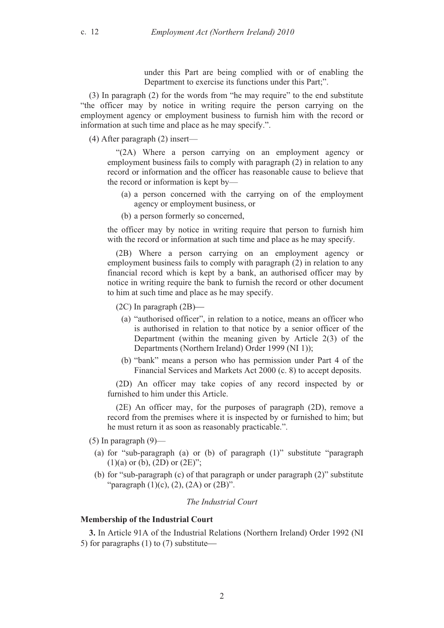under this Part are being complied with or of enabling the Department to exercise its functions under this Part;".

(3) In paragraph (2) for the words from "he may require" to the end substitute "the officer may by notice in writing require the person carrying on the employment agency or employment business to furnish him with the record or information at such time and place as he may specify.".

(4) After paragraph (2) insert—

"(2A) Where a person carrying on an employment agency or employment business fails to comply with paragraph (2) in relation to any record or information and the officer has reasonable cause to believe that the record or information is kept by—

- (a) a person concerned with the carrying on of the employment agency or employment business, or
- (b) a person formerly so concerned,

the officer may by notice in writing require that person to furnish him with the record or information at such time and place as he may specify.

(2B) Where a person carrying on an employment agency or employment business fails to comply with paragraph (2) in relation to any financial record which is kept by a bank, an authorised officer may by notice in writing require the bank to furnish the record or other document to him at such time and place as he may specify.

(2C) In paragraph (2B)

- (a) "authorised officer", in relation to a notice, means an officer who is authorised in relation to that notice by a senior officer of the Department (within the meaning given by Article 2(3) of the Departments (Northern Ireland) Order 1999 (NI 1));
- (b) "bank" means a person who has permission under Part 4 of the Financial Services and Markets Act 2000 (c. 8) to accept deposits.

(2D) An officer may take copies of any record inspected by or furnished to him under this Article.

(2E) An officer may, for the purposes of paragraph (2D), remove a record from the premises where it is inspected by or furnished to him; but he must return it as soon as reasonably practicable.".

- $(5)$  In paragraph  $(9)$ —
- (a) for "sub-paragraph (a) or (b) of paragraph (1)" substitute "paragraph  $(1)(a)$  or (b),  $(2D)$  or  $(2E)$ ";
- (b) for "sub-paragraph (c) of that paragraph or under paragraph (2)" substitute "paragraph  $(1)(c)$ ,  $(2)$ ,  $(2A)$  or  $(2B)$ ".

#### *The Industrial Court*

## **Membership of the Industrial Court**

**3.** In Article 91A of the Industrial Relations (Northern Ireland) Order 1992 (NI 5) for paragraphs (1) to (7) substitute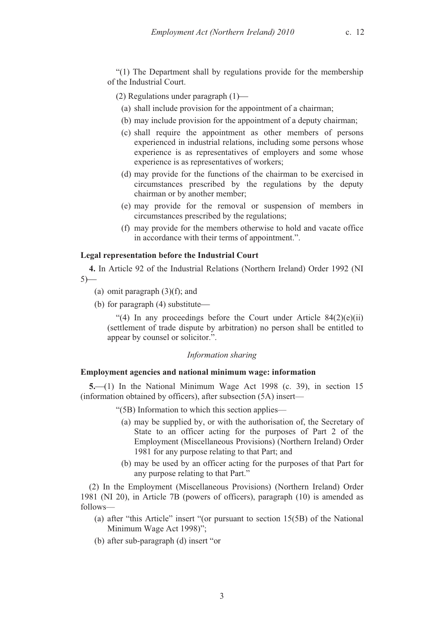"(1) The Department shall by regulations provide for the membership of the Industrial Court.

(2) Regulations under paragraph (1)

- (a) shall include provision for the appointment of a chairman;
- (b) may include provision for the appointment of a deputy chairman;
- (c) shall require the appointment as other members of persons experienced in industrial relations, including some persons whose experience is as representatives of employers and some whose experience is as representatives of workers;
- (d) may provide for the functions of the chairman to be exercised in circumstances prescribed by the regulations by the deputy chairman or by another member;
- (e) may provide for the removal or suspension of members in circumstances prescribed by the regulations;
- (f) may provide for the members otherwise to hold and vacate office in accordance with their terms of appointment.".

#### **Legal representation before the Industrial Court**

**4.** In Article 92 of the Industrial Relations (Northern Ireland) Order 1992 (NI  $5)$ —

- (a) omit paragraph  $(3)(f)$ ; and
- (b) for paragraph (4) substitute

"(4) In any proceedings before the Court under Article  $84(2)(e)(ii)$ (settlement of trade dispute by arbitration) no person shall be entitled to appear by counsel or solicitor.".

## *Information sharing*

#### **Employment agencies and national minimum wage: information**

**5.** (1) In the National Minimum Wage Act 1998 (c. 39), in section 15 (information obtained by officers), after subsection (5A) insert—

"(5B) Information to which this section applies—

- (a) may be supplied by, or with the authorisation of, the Secretary of State to an officer acting for the purposes of Part 2 of the Employment (Miscellaneous Provisions) (Northern Ireland) Order 1981 for any purpose relating to that Part; and
- (b) may be used by an officer acting for the purposes of that Part for any purpose relating to that Part."

(2) In the Employment (Miscellaneous Provisions) (Northern Ireland) Order 1981 (NI 20), in Article 7B (powers of officers), paragraph (10) is amended as follows—

- (a) after "this Article" insert "(or pursuant to section 15(5B) of the National Minimum Wage Act 1998)";
- (b) after sub-paragraph (d) insert "or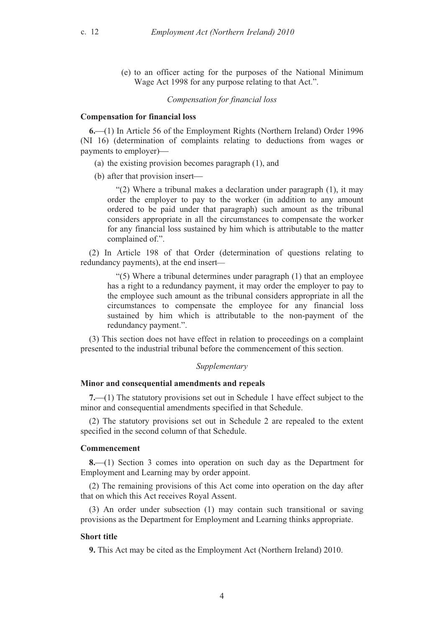(e) to an officer acting for the purposes of the National Minimum Wage Act 1998 for any purpose relating to that Act.".

#### *Compensation for financial loss*

#### **Compensation for financial loss**

**6.**(1) In Article 56 of the Employment Rights (Northern Ireland) Order 1996 (NI 16) (determination of complaints relating to deductions from wages or payments to employer)

- (a) the existing provision becomes paragraph (1), and
- (b) after that provision insert

"(2) Where a tribunal makes a declaration under paragraph (1), it may order the employer to pay to the worker (in addition to any amount ordered to be paid under that paragraph) such amount as the tribunal considers appropriate in all the circumstances to compensate the worker for any financial loss sustained by him which is attributable to the matter complained of.".

(2) In Article 198 of that Order (determination of questions relating to redundancy payments), at the end insert

"(5) Where a tribunal determines under paragraph (1) that an employee has a right to a redundancy payment, it may order the employer to pay to the employee such amount as the tribunal considers appropriate in all the circumstances to compensate the employee for any financial loss sustained by him which is attributable to the non-payment of the redundancy payment.".

(3) This section does not have effect in relation to proceedings on a complaint presented to the industrial tribunal before the commencement of this section.

#### *Supplementary*

#### **Minor and consequential amendments and repeals**

**7.** (1) The statutory provisions set out in Schedule 1 have effect subject to the minor and consequential amendments specified in that Schedule.

(2) The statutory provisions set out in Schedule 2 are repealed to the extent specified in the second column of that Schedule.

#### **Commencement**

**8.**(1) Section 3 comes into operation on such day as the Department for Employment and Learning may by order appoint.

(2) The remaining provisions of this Act come into operation on the day after that on which this Act receives Royal Assent.

(3) An order under subsection (1) may contain such transitional or saving provisions as the Department for Employment and Learning thinks appropriate.

#### **Short title**

**9.** This Act may be cited as the Employment Act (Northern Ireland) 2010.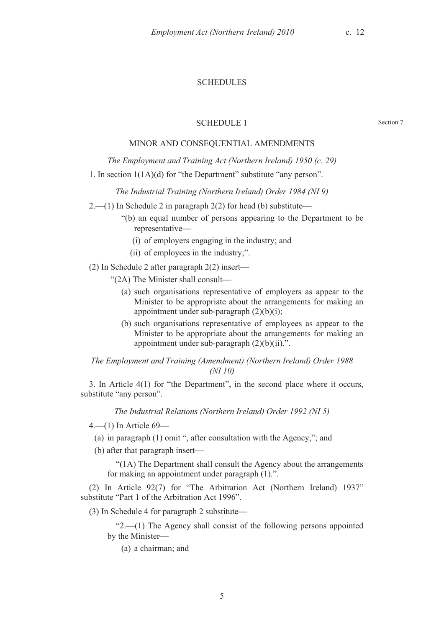## **SCHEDULES**

#### SCHEDULE 1

Section 7.

## MINOR AND CONSEQUENTIAL AMENDMENTS

*The Employment and Training Act (Northern Ireland) 1950 (c. 29)* 

1. In section 1(1A)(d) for "the Department" substitute "any person".

*The Industrial Training (Northern Ireland) Order 1984 (NI 9)* 

 $2$ , (1) In Schedule 2 in paragraph 2(2) for head (b) substitute

- "(b) an equal number of persons appearing to the Department to be representative
	- (i) of employers engaging in the industry; and
	- (ii) of employees in the industry;".

(2) In Schedule 2 after paragraph 2(2) insert

- "(2A) The Minister shall consult
	- (a) such organisations representative of employers as appear to the Minister to be appropriate about the arrangements for making an appointment under sub-paragraph  $(2)(b)(i)$ ;
	- (b) such organisations representative of employees as appear to the Minister to be appropriate about the arrangements for making an appointment under sub-paragraph (2)(b)(ii).".

*The Employment and Training (Amendment) (Northern Ireland) Order 1988 (NI 10)* 

3. In Article 4(1) for "the Department", in the second place where it occurs, substitute "any person".

*The Industrial Relations (Northern Ireland) Order 1992 (NI 5)* 

 $4-(1)$  In Article 69–

(a) in paragraph (1) omit ", after consultation with the Agency,"; and

(b) after that paragraph insert

"(1A) The Department shall consult the Agency about the arrangements for making an appointment under paragraph (1).".

(2) In Article 92(7) for "The Arbitration Act (Northern Ireland) 1937" substitute "Part 1 of the Arbitration Act 1996".

(3) In Schedule 4 for paragraph 2 substitute

" $2$ .—(1) The Agency shall consist of the following persons appointed by the Minister

(a) a chairman; and